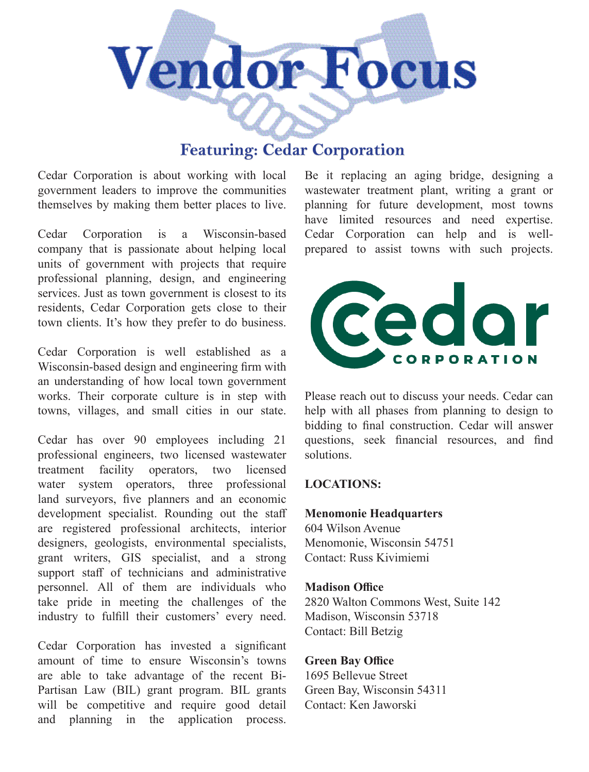

# **Featuring: Cedar Corporation**

Cedar Corporation is about working with local government leaders to improve the communities themselves by making them better places to live.

Cedar Corporation is a Wisconsin-based company that is passionate about helping local units of government with projects that require professional planning, design, and engineering services. Just as town government is closest to its residents, Cedar Corporation gets close to their town clients. It's how they prefer to do business.

Cedar Corporation is well established as a Wisconsin-based design and engineering firm with an understanding of how local town government works. Their corporate culture is in step with towns, villages, and small cities in our state.

Cedar has over 90 employees including 21 professional engineers, two licensed wastewater treatment facility operators, two licensed water system operators, three professional land surveyors, five planners and an economic development specialist. Rounding out the staff are registered professional architects, interior designers, geologists, environmental specialists, grant writers, GIS specialist, and a strong support staff of technicians and administrative personnel. All of them are individuals who take pride in meeting the challenges of the industry to fulfill their customers' every need.

Cedar Corporation has invested a significant amount of time to ensure Wisconsin's towns are able to take advantage of the recent Bi-Partisan Law (BIL) grant program. BIL grants will be competitive and require good detail and planning in the application process.

Be it replacing an aging bridge, designing a wastewater treatment plant, writing a grant or planning for future development, most towns have limited resources and need expertise. Cedar Corporation can help and is wellprepared to assist towns with such projects.



Please reach out to discuss your needs. Cedar can help with all phases from planning to design to bidding to final construction. Cedar will answer questions, seek financial resources, and find solutions.

#### **LOCATIONS:**

#### **Menomonie Headquarters**

604 Wilson Avenue Menomonie, Wisconsin 54751 Contact: Russ Kivimiemi

#### **Madison Office**

2820 Walton Commons West, Suite 142 Madison, Wisconsin 53718 Contact: Bill Betzig

#### **Green Bay Office**

1695 Bellevue Street Green Bay, Wisconsin 54311 Contact: Ken Jaworski